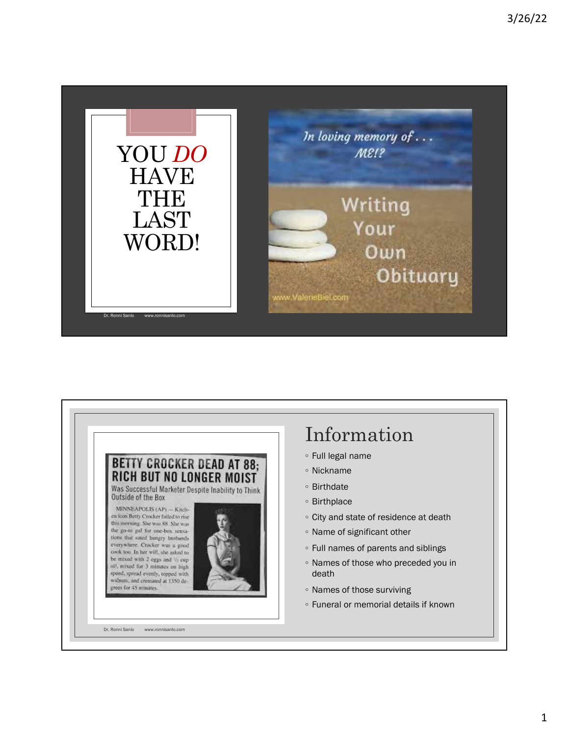

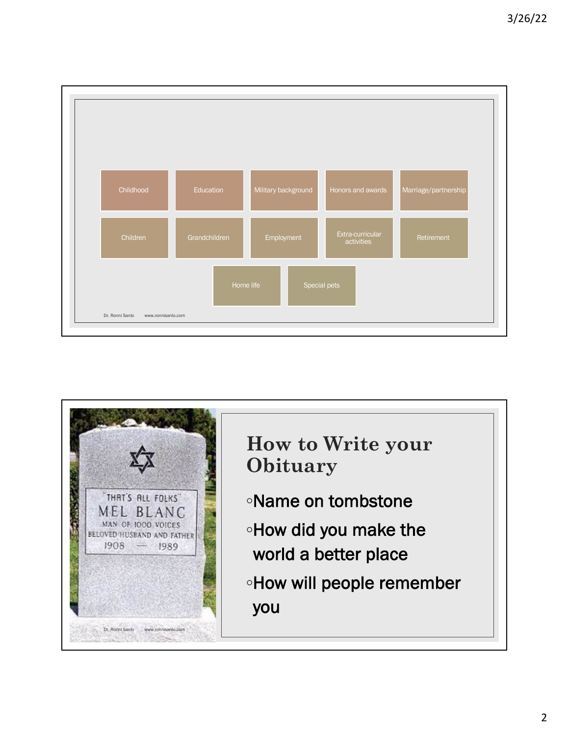

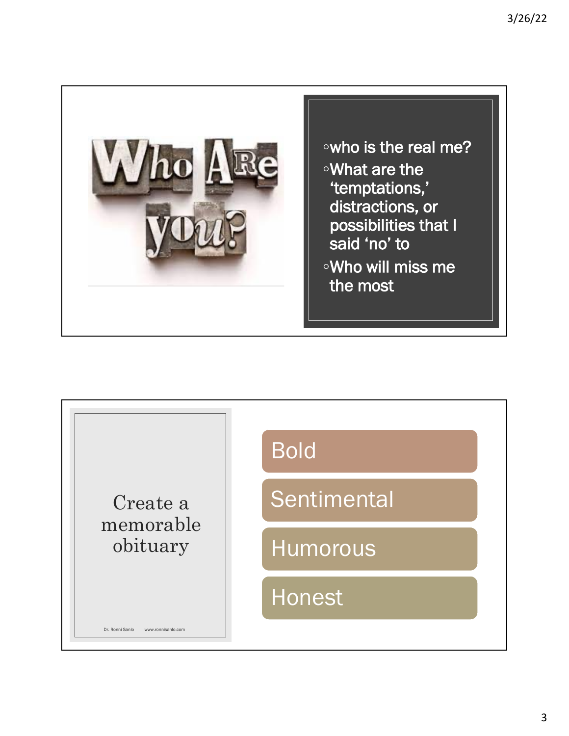

◦who is the real me? ◦What are the 'temptations,' distractions, or possibilities that I said 'no' to ◦Who will miss me the most